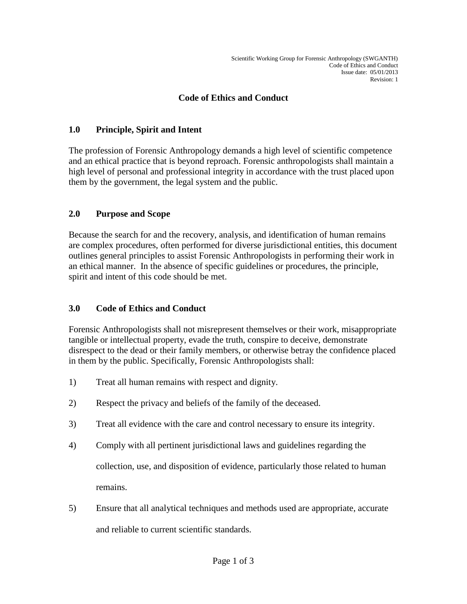## **Code of Ethics and Conduct**

## **1.0 Principle, Spirit and Intent**

The profession of Forensic Anthropology demands a high level of scientific competence and an ethical practice that is beyond reproach. Forensic anthropologists shall maintain a high level of personal and professional integrity in accordance with the trust placed upon them by the government, the legal system and the public.

## **2.0 Purpose and Scope**

Because the search for and the recovery, analysis, and identification of human remains are complex procedures, often performed for diverse jurisdictional entities, this document outlines general principles to assist Forensic Anthropologists in performing their work in an ethical manner. In the absence of specific guidelines or procedures, the principle, spirit and intent of this code should be met.

## **3.0 Code of Ethics and Conduct**

Forensic Anthropologists shall not misrepresent themselves or their work, misappropriate tangible or intellectual property, evade the truth, conspire to deceive, demonstrate disrespect to the dead or their family members, or otherwise betray the confidence placed in them by the public. Specifically, Forensic Anthropologists shall:

- 1) Treat all human remains with respect and dignity.
- 2) Respect the privacy and beliefs of the family of the deceased.
- 3) Treat all evidence with the care and control necessary to ensure its integrity.
- 4) Comply with all pertinent jurisdictional laws and guidelines regarding the collection, use, and disposition of evidence, particularly those related to human remains.
- 5) Ensure that all analytical techniques and methods used are appropriate, accurate and reliable to current scientific standards.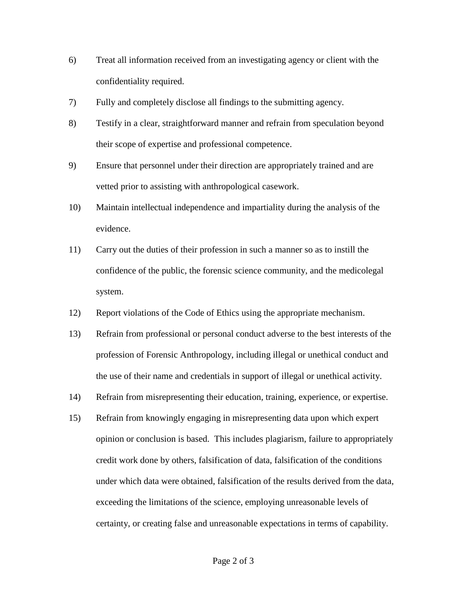- 6) Treat all information received from an investigating agency or client with the confidentiality required.
- 7) Fully and completely disclose all findings to the submitting agency.
- 8) Testify in a clear, straightforward manner and refrain from speculation beyond their scope of expertise and professional competence.
- 9) Ensure that personnel under their direction are appropriately trained and are vetted prior to assisting with anthropological casework.
- 10) Maintain intellectual independence and impartiality during the analysis of the evidence.
- 11) Carry out the duties of their profession in such a manner so as to instill the confidence of the public, the forensic science community, and the medicolegal system.
- 12) Report violations of the Code of Ethics using the appropriate mechanism.
- 13) Refrain from professional or personal conduct adverse to the best interests of the profession of Forensic Anthropology, including illegal or unethical conduct and the use of their name and credentials in support of illegal or unethical activity.
- 14) Refrain from misrepresenting their education, training, experience, or expertise.
- 15) Refrain from knowingly engaging in misrepresenting data upon which expert opinion or conclusion is based. This includes plagiarism, failure to appropriately credit work done by others, falsification of data, falsification of the conditions under which data were obtained, falsification of the results derived from the data, exceeding the limitations of the science, employing unreasonable levels of certainty, or creating false and unreasonable expectations in terms of capability.